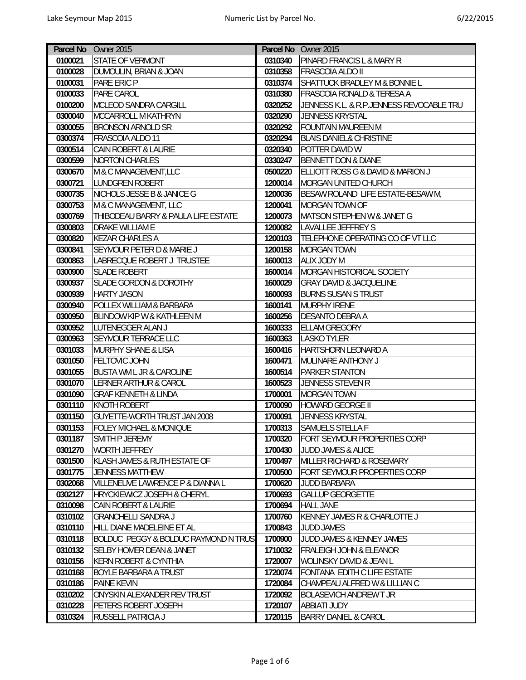|         | Parcel No Owner 2015                            |         | Parcel No Owner 2015                     |
|---------|-------------------------------------------------|---------|------------------------------------------|
| 0100021 | <b>STATE OF VERMONT</b>                         | 0310340 | <b>PINARD FRANCIS L &amp; MARY R</b>     |
| 0100028 | DUMOULIN, BRIAN & JOAN                          | 0310358 | <b>FRASCOIA ALDO II</b>                  |
| 0100031 | PARE ERIC P                                     | 0310374 | SHATTUCK BRADLEY M & BONNIE L            |
| 0100033 | PARE CAROL                                      | 0310380 | <b>FRASCOIA RONALD &amp; TERESA A</b>    |
| 0100200 | MCLEOD SANDRA CARGILL                           | 0320252 | JENNESS K.L. & R.P.JENNESS REVOCABLE TRU |
| 0300040 | <b>MCCARROLL M KATHRYN</b>                      | 0320290 | JENNESS KRYSTAL                          |
| 0300055 | <b>BRONSON ARNOLD SR</b>                        | 0320292 | <b>FOUNTAIN MAUREEN M</b>                |
| 0300374 | FRASCOIA ALDO 11                                | 0320294 | <b>BLAIS DANIEL&amp; CHRISTINE</b>       |
| 0300514 | <b>CAIN ROBERT &amp; LAURIE</b>                 | 0320340 | POTTER DAVID W                           |
| 0300599 | <b>NORTON CHARLES</b>                           | 0330247 | <b>BENNETT DON &amp; DIANE</b>           |
| 0300670 | M & C MANAGEMENT, LLC                           | 0500220 | ELLIOTT ROSS G & DAVID & MARION J        |
| 0300721 | <b>LUNDGREN ROBERT</b>                          | 1200014 | MORGAN UNITED CHURCH                     |
| 0300735 | NICHOLS JESSE B & JANICE G                      | 1200036 | BESAW ROLAND LIFE ESTATE-BESAW M,        |
| 0300753 | M & C MANAGEMENT, LLC                           | 1200041 | MORGAN TOWN OF                           |
| 0300769 | THIBODEAU BARRY & PAULA LIFE ESTATE             | 1200073 | MATSON STEPHEN W & JANET G               |
| 0300803 | DRAKE WILLIAM E                                 | 1200082 | <b>LAVALLEE JEFFREY S</b>                |
| 0300820 | <b>KEZAR CHARLES A</b>                          | 1200103 | TELEPHONE OPERATING CO OF VT LLC         |
| 0300841 | SEYMOUR PETER D & MARIE J                       | 1200158 | <b>MORGAN TOWN</b>                       |
| 0300863 | LABRECQUE ROBERT J TRUSTEE                      | 1600013 | <b>ALIX JODY M</b>                       |
| 0300900 | <b>SLADE ROBERT</b>                             | 1600014 | MORGAN HISTORICAL SOCIETY                |
| 0300937 | <b>SLADE GORDON &amp; DOROTHY</b>               | 1600029 | <b>GRAY DAVID &amp; JACQUELINE</b>       |
| 0300939 | <b>HARTY JASON</b>                              | 1600093 | <b>BURNS SUSAN S TRUST</b>               |
| 0300940 | POLLEX WILLIAM & BARBARA                        | 1600141 | <b>MURPHY IRENE</b>                      |
| 0300950 | <b>BLINDOW KIP W &amp; KATHLEEN M</b>           | 1600256 | <b>DESANTO DEBRA A</b>                   |
| 0300952 | LUTENEGGER ALAN J                               | 1600333 | <b>ELLAM GREGORY</b>                     |
| 0300963 | <b>SEYMOUR TERRACE LLC</b>                      | 1600363 | <b>LASKO TYLER</b>                       |
| 0301033 | <b>MURPHY SHANE &amp; LISA</b>                  | 1600416 | <b>HARTSHORN LEONARD A</b>               |
| 0301050 | <b>FELTOVIC JOHN</b>                            | 1600471 | MULINARE ANTHONY J                       |
| 0301055 | <b>BUSTA WM L JR &amp; CAROLINE</b>             | 1600514 | PARKER STANTON                           |
| 0301070 | <b>LERNER ARTHUR &amp; CAROL</b>                | 1600523 | JENNESS STEVEN R                         |
| 0301090 | <b>GRAF KENNETH &amp; LINDA</b>                 | 1700001 | <b>MORGAN TOWN</b>                       |
| 0301110 | <b>KNOTH ROBERT</b>                             | 1700090 | <b>HOWARD GEORGE II</b>                  |
| 0301150 | <b>GUYETTE-WORTH TRUST JAN 2008</b>             | 1700091 | JENNESS KRYSTAL                          |
| 0301153 | <b>FOLEY MICHAEL &amp; MONIQUE</b>              | 1700313 | SAMUELS STELLA F                         |
| 0301187 | SMITH P JEREMY                                  | 1700320 | FORT SEYMOUR PROPERTIES CORP             |
| 0301270 | <b>WORTH JEFFREY</b>                            | 1700430 | <b>JUDD JAMES &amp; ALICE</b>            |
| 0301500 | KLASH JAMES & RUTH ESTATE OF                    | 1700497 | <b>MILLER RICHARD &amp; ROSEMARY</b>     |
| 0301775 | <b>JENNESS MATTHEW</b>                          | 1700500 | FORT SEYMOUR PROPERTIES CORP             |
| 0302068 | VILLENEUVE LAWRENCE P & DIANNA L                | 1700620 | <b>JUDD BARBARA</b>                      |
| 0302127 | <b>HRYCKIEWICZ JOSEPH &amp; CHERYL</b>          | 1700693 | <b>GALLUP GEORGETTE</b>                  |
| 0310098 | <b>CAIN ROBERT &amp; LAURIE</b>                 | 1700694 | <b>HALL JANE</b>                         |
| 0310102 | <b>GRANCHELLI SANDRA J</b>                      | 1700760 | <b>KENNEY JAMES R &amp; CHARLOTTE J</b>  |
| 0310110 | HILL DIANE MADELEINE ET AL                      | 1700843 | <b>JUDD JAMES</b>                        |
| 0310118 | <b>BOLDUC PEGGY &amp; BOLDUC RAYMOND N TRUS</b> | 1700900 | <b>JUDD JAMES &amp; KENNEY JAMES</b>     |
| 0310132 | <b>SELBY HOMER DEAN &amp; JANET</b>             | 1710032 | <b>FRALEIGH JOHN &amp; ELEANOR</b>       |
| 0310156 | KERN ROBERT & CYNTHIA                           | 1720007 | WOLINSKY DAVID & JEAN L                  |
| 0310168 | <b>BOYLE BARBARA A TRUST</b>                    | 1720074 | FONTANA EDITH C LIFE ESTATE              |
| 0310186 | PAINE KEVIN                                     | 1720084 | CHAMPEAU ALFRED W & LILLIAN C            |
| 0310202 | ONYSKIN ALEXANDER REV TRUST                     | 1720092 | <b>BOLASEVICH ANDREW T JR</b>            |
| 0310228 | PETERS ROBERT JOSEPH                            | 1720107 | <b>ABBIATI JUDY</b>                      |
| 0310324 | <b>RUSSELL PATRICIA J</b>                       | 1720115 | <b>BARRY DANIEL &amp; CAROL</b>          |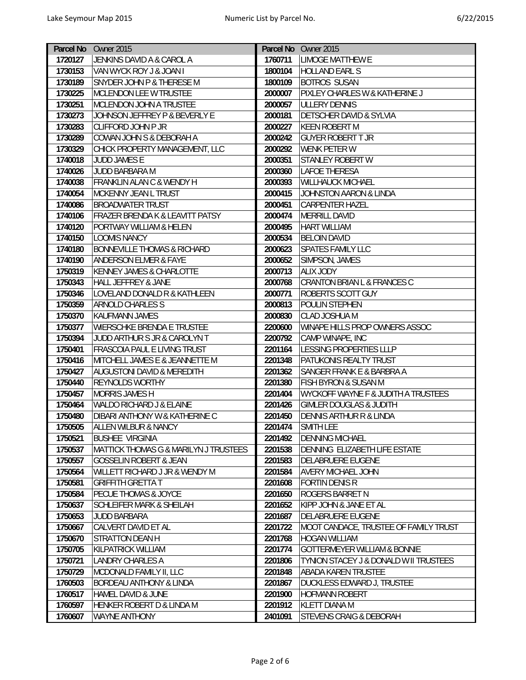|         | Parcel No Owner 2015                             |         | Parcel No Owner 2015                              |
|---------|--------------------------------------------------|---------|---------------------------------------------------|
| 1720127 | JENKINS DAVID A & CAROL A                        | 1760711 | <b>LIMOGE MATTHEW E</b>                           |
| 1730153 | VAN WYCK ROY J & JOAN I                          | 1800104 | <b>HOLLAND EARL S</b>                             |
| 1730189 | SNYDER JOHN P & THERESE M                        | 1800109 | <b>BOTROS SUSAN</b>                               |
| 1730225 | <b>MCLENDON LEE W TRUSTEE</b>                    | 2000007 | PIXLEY CHARLES W & KATHERINE J                    |
| 1730251 | MCLENDON JOHN A TRUSTEE                          | 2000057 | <b>ULLERY DENNIS</b>                              |
| 1730273 | JOHNSON JEFFREY P & BEVERLY E                    | 2000181 | <b>DETSCHER DAVID &amp; SYLVIA</b>                |
| 1730283 | <b>CLIFFORD JOHN P JR</b>                        | 2000227 | <b>KEEN ROBERT M</b>                              |
| 1730289 | COWAN JOHN S & DEBORAH A                         | 2000242 | <b>GUYER ROBERT T JR</b>                          |
| 1730329 | CHICK PROPERTY MANAGEMENT, LLC                   | 2000292 | <b>WENK PETER W</b>                               |
| 1740018 | <b>JUDD JAMES E</b>                              | 2000351 | <b>STANLEY ROBERT W</b>                           |
| 1740026 | JUDD BARBARA M                                   | 2000360 | <b>LAFOE THERESA</b>                              |
| 1740038 | <b>FRANKLIN ALAN C &amp; WENDY H</b>             | 2000393 | <b>WILLHAUCK MICHAEL</b>                          |
| 1740054 | <b>MCKENNY JEAN L TRUST</b>                      | 2000415 | JOHNSTON AARON & LINDA                            |
| 1740086 | <b>BROADWATER TRUST</b>                          | 2000451 | <b>CARPENTER HAZEL</b>                            |
| 1740106 | FRAZER BRENDA K & LEAVITT PATSY                  | 2000474 | MERRILL DAVID                                     |
| 1740120 | PORTWAY WILLIAM & HELEN                          | 2000495 | <b>HART WILLIAM</b>                               |
| 1740150 | <b>LOOMIS NANCY</b>                              | 2000534 | <b>BELOIN DAVID</b>                               |
| 1740180 | <b>BONNEVILLE THOMAS &amp; RICHARD</b>           | 2000623 | <b>SPATES FAMILY LLC</b>                          |
| 1740190 | <b>ANDERSON ELMER &amp; FAYE</b>                 | 2000652 | SIMPSON, JAMES                                    |
| 1750319 | KENNEY JAMES & CHARLOTTE                         | 2000713 | <b>ALIX JODY</b>                                  |
| 1750343 | <b>HALL JEFFREY &amp; JANE</b>                   | 2000768 | <b>CRANTON BRIAN L &amp; FRANCES C</b>            |
| 1750346 | <b>LOVELAND DONALD R &amp; KATHLEEN</b>          | 2000771 | <b>ROBERTS SCOTT GUY</b>                          |
| 1750359 | <b>ARNOLD CHARLES S</b>                          | 2000813 | POULIN STEPHEN                                    |
| 1750370 | KAUFMANN JAMES                                   | 2000830 | <b>CLAD JOSHUA M</b>                              |
| 1750377 | <b>WIERSCHKE BRENDA E TRUSTEE</b>                | 2200600 | WINAPE HILLS PROP OWNERS ASSOC                    |
| 1750394 | JUDD ARTHUR S JR & CAROLYN T                     | 2200792 | CAMP WINAPE, INC                                  |
| 1750401 | <b>FRASCOIA PAUL E LIVING TRUST</b>              | 2201164 | <b>LESSING PROPERTIES LLLP</b>                    |
| 1750416 | MITCHELL JAMES E & JEANNETTE M                   | 2201348 | PATUKONIS REALTY TRUST                            |
| 1750427 | <b>AUGUSTONI DAVID &amp; MEREDITH</b>            | 2201362 | SANGER FRANK E & BARBRA A                         |
| 1750440 | REYNOLDS WORTHY                                  | 2201380 | FISH BYRON & SUSAN M                              |
| 1750457 | <b>MORRIS JAMES H</b>                            | 2201404 | <b>WYCKOFF WAYNE F &amp; JUDITH A TRUSTEES</b>    |
| 1750464 | WALDO RICHARD J & ELAINE                         | 2201426 | <b>GIMLER DOUGLAS &amp; JUDITH</b>                |
| 1750480 | <b>DIBARI ANTHONY W &amp; KATHERINE C</b>        | 2201450 | <b>DENNIS ARTHUR R &amp; LINDA</b>                |
| 1750505 | <b>ALLEN WILBUR &amp; NANCY</b>                  | 2201474 | SMITH LEE                                         |
| 1750521 | <b>BUSHEE VIRGINIA</b>                           | 2201492 | <b>DENNING MICHAEL</b>                            |
| 1750537 | <b>MATTICK THOMAS G &amp; MARILYN J TRUSTEES</b> | 2201538 | DENNING ELIZABETH LIFE ESTATE                     |
| 1750557 | <b>GOSSELIN ROBERT &amp; JEAN</b>                | 2201583 | <b>DELABRUERE EUGENE</b>                          |
| 1750564 | WILLETT RICHARD J JR & WENDY M                   | 2201584 | <b>AVERY MICHAEL JOHN</b>                         |
| 1750581 | <b>GRIFFITH GRETTA T</b>                         | 2201608 | <b>FORTIN DENIS R</b>                             |
| 1750584 | <b>PECUE THOMAS &amp; JOYCE</b>                  | 2201650 | <b>ROGERS BARRET N</b>                            |
| 1750637 | <b>SCHLEIFER MARK &amp; SHEILAH</b>              | 2201652 | KIPP JOHN & JANE ET AL                            |
| 1750653 | <b>JUDD BARBARA</b>                              | 2201687 | DELABRUERE EUGENE                                 |
| 1750667 | CALVERT DAVID ET AL                              | 2201722 | MOOT CANDACE, TRUSTEE OF FAMILY TRUST             |
| 1750670 | <b>STRATTON DEAN H</b>                           | 2201768 | <b>HOGAN WILLIAM</b>                              |
| 1750705 | <b>KILPATRICK WILLIAM</b>                        | 2201774 | <b>GOTTERMEYER WILLIAM &amp; BONNIE</b>           |
| 1750721 | <b>LANDRY CHARLES A</b>                          | 2201806 | <b>TYNION STACEY J &amp; DONALD W II TRUSTEES</b> |
| 1750729 | MCDONALD FAMILY II, LLC                          | 2201848 | <b>ABADA KAREN TRUSTEE</b>                        |
| 1760503 | BORDEAU ANTHONY & LINDA                          | 2201867 | DUCKLESS EDWARD J, TRUSTEE                        |
| 1760517 | HAMEL DAVID & JUNE                               | 2201900 | HOFMANN ROBERT                                    |
| 1760597 | HENKER ROBERT D & LINDA M                        | 2201912 | <b>KLETT DIANA M</b>                              |
| 1760607 | <b>WAYNE ANTHONY</b>                             | 2401091 | <b>STEVENS CRAIG &amp; DEBORAH</b>                |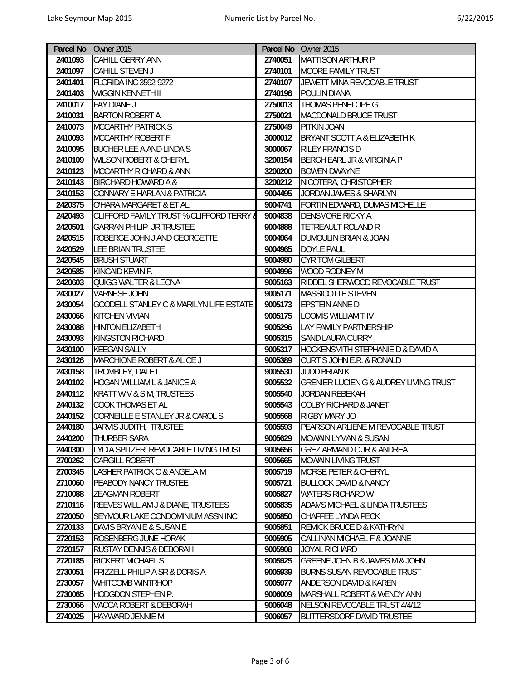| 2401093<br>CAHILL GERRY ANN<br>2740051<br><b>MATTISON ARTHUR P</b><br>2401097<br>CAHILL STEVEN J<br>2740101<br>MOORE FAMILY TRUST<br><b>FLORIDA INC 3592-9272</b><br>2740107<br>JEWETT MINA REVOCABLE TRUST<br>2401401<br>2401403<br>WIGGIN KENNETH II<br>2740196<br><b>POULIN DIANA</b><br>2750013<br><b>THOMAS PENELOPE G</b><br>2410017<br>FAY DIANE J<br><b>BARTON ROBERT A</b><br><b>MACDONALD BRUCE TRUST</b><br>2410031<br>2750021<br>2410073<br>MCCARTHY PATRICK S<br>2750049<br><b>PITKIN JOAN</b><br>2410093<br>MCCARTHY ROBERT F<br>3000012<br><b>BRYANT SCOTT A &amp; ELIZABETH K</b><br>2410095<br>BUCHER LEE A AND LINDA S<br>3000067<br><b>RILEY FRANCIS D</b><br>3200154<br><b>BERGH EARL JR &amp; VIRGINIA P</b><br>2410109<br><b>WILSON ROBERT &amp; CHERYL</b><br>3200200<br>2410123<br><b>MCCARTHY RICHARD &amp; ANN</b><br><b>BOWEN DWAYNE</b><br>2410143<br>3200212<br>NICOTERA, CHRISTOPHER<br>BIRCHARD HOWARD A &<br>2410153<br>CONNARY E HARLAN & PATRICIA<br>9004495<br>JORDAN JAMES & SHARLYN<br>2420375<br>9004741<br>FORTIN EDWARD, DUMAS MICHELLE<br>O'HARA MARGARET & ET AL<br>2420493<br>CLIFFORD FAMILY TRUST % CLIFFORD TERRY &<br>9004838<br><b>DENSMORE RICKY A</b><br>9004888<br><b>TETREAULT ROLAND R</b><br>2420501<br><b>GARRAN PHILIP JR TRUSTEE</b><br>ROBERGE JOHN J AND GEORGETTE<br>2420515<br>9004964<br><b>DUMOULIN BRIAN &amp; JOAN</b><br>9004965<br><b>DOYLE PAUL</b><br>2420529<br>LEE BRIAN TRUSTEE<br><b>BRUSH STUART</b><br>9004980<br><b>CYR TOM GILBERT</b><br>2420545<br>9004996<br><b>WOOD RODNEY M</b><br>2420585<br>KINCAID KEVIN F.<br>9005163<br>2420603<br>QUIGG WALTER & LEONA<br>RIDDEL SHERWOOD REVOCABLE TRUST<br><b>VARNESE JOHN</b><br>9005171<br>MASSICOTTE STEVEN<br>2430027<br><b>GOODELL STANLEY C &amp; MARILYN LIFE ESTATE</b><br>9005173<br><b>EPSTEIN ANNE D</b><br>2430054<br>2430066<br><b>KITCHEN VIVIAN</b><br>9005175<br><b>LOOMIS WILLIAM T IV</b><br>9005296<br><b>LAY FAMILY PARTNERSHIP</b><br>2430088<br><b>HINTON ELIZABETH</b><br>9005315<br>2430093<br>KINGSTON RICHARD<br><b>SAND LAURA CURRY</b><br>2430100<br><b>KEEGAN SALLY</b><br>9005317<br><b>HOCKENSMITH STEPHANIE D &amp; DAVID A</b><br>2430126<br>MARCHIONE ROBERT & ALICE J<br>9005389<br><b>CURTIS JOHN E.R. &amp; RONALD</b><br>2430158<br>TROMBLEY, DALE L<br>9005530<br>JUDD BRIAN K<br>HOGAN WILLIAM L & JANICE A<br><b>GRENIER LUCIEN G &amp; AUDREY LIVING TRUST</b><br>2440102<br>9005532<br>KRATT W V & S M, TRUSTEES<br>2440112<br>9005540<br>JORDAN REBEKAH<br>2440132<br><b>COOK THOMAS ET AL</b><br><b>COLBY RICHARD &amp; JANET</b><br>9005543<br>CORNEILLE E STANLEY JR & CAROL S<br>9005568<br><b>RIGBY MARY JO</b><br>2440152<br>JARVIS JUDITH, TRUSTEE<br>9005593<br>2440180<br>PEARSON ARLIENE M REVOCABLE TRUST<br>2440200<br>THURBER SARA<br>9005629<br><b>MCWAIN LYMAN &amp; SUSAN</b><br>LYDIA SPITZER REVOCABLE LIVING TRUST<br>2440300<br>9005656<br>GREZ ARMAND C JR & ANDREA<br>2700262<br>CARGILL ROBERT<br>9005665<br><b>MCWAIN LIVING TRUST</b><br>2700345<br>LASHER PATRICK O & ANGELA M<br>9005719<br><b>MORSE PETER &amp; CHERYL</b><br>2710060<br>PEABODY NANCY TRUSTEE<br>9005721<br><b>BULLOCK DAVID &amp; NANCY</b><br>2710088<br><b>ZEAGMAN ROBERT</b><br>9005827<br><b>WATERS RICHARD W</b><br>REEVES WILLIAM J & DIANE, TRUSTEES<br>2710116<br>9005835<br><b>ADAMS MICHAEL &amp; LINDA TRUSTEES</b> |
|----------------------------------------------------------------------------------------------------------------------------------------------------------------------------------------------------------------------------------------------------------------------------------------------------------------------------------------------------------------------------------------------------------------------------------------------------------------------------------------------------------------------------------------------------------------------------------------------------------------------------------------------------------------------------------------------------------------------------------------------------------------------------------------------------------------------------------------------------------------------------------------------------------------------------------------------------------------------------------------------------------------------------------------------------------------------------------------------------------------------------------------------------------------------------------------------------------------------------------------------------------------------------------------------------------------------------------------------------------------------------------------------------------------------------------------------------------------------------------------------------------------------------------------------------------------------------------------------------------------------------------------------------------------------------------------------------------------------------------------------------------------------------------------------------------------------------------------------------------------------------------------------------------------------------------------------------------------------------------------------------------------------------------------------------------------------------------------------------------------------------------------------------------------------------------------------------------------------------------------------------------------------------------------------------------------------------------------------------------------------------------------------------------------------------------------------------------------------------------------------------------------------------------------------------------------------------------------------------------------------------------------------------------------------------------------------------------------------------------------------------------------------------------------------------------------------------------------------------------------------------------------------------------------------------------------------------------------------------------------------------------------------------------------------------------------------------------------------------------------------------------------------------------------------------------------------------------------------------------------------------------------------------------------------------------------------------------------------------------------------------------------------------|
|                                                                                                                                                                                                                                                                                                                                                                                                                                                                                                                                                                                                                                                                                                                                                                                                                                                                                                                                                                                                                                                                                                                                                                                                                                                                                                                                                                                                                                                                                                                                                                                                                                                                                                                                                                                                                                                                                                                                                                                                                                                                                                                                                                                                                                                                                                                                                                                                                                                                                                                                                                                                                                                                                                                                                                                                                                                                                                                                                                                                                                                                                                                                                                                                                                                                                                                                                                                                    |
|                                                                                                                                                                                                                                                                                                                                                                                                                                                                                                                                                                                                                                                                                                                                                                                                                                                                                                                                                                                                                                                                                                                                                                                                                                                                                                                                                                                                                                                                                                                                                                                                                                                                                                                                                                                                                                                                                                                                                                                                                                                                                                                                                                                                                                                                                                                                                                                                                                                                                                                                                                                                                                                                                                                                                                                                                                                                                                                                                                                                                                                                                                                                                                                                                                                                                                                                                                                                    |
|                                                                                                                                                                                                                                                                                                                                                                                                                                                                                                                                                                                                                                                                                                                                                                                                                                                                                                                                                                                                                                                                                                                                                                                                                                                                                                                                                                                                                                                                                                                                                                                                                                                                                                                                                                                                                                                                                                                                                                                                                                                                                                                                                                                                                                                                                                                                                                                                                                                                                                                                                                                                                                                                                                                                                                                                                                                                                                                                                                                                                                                                                                                                                                                                                                                                                                                                                                                                    |
|                                                                                                                                                                                                                                                                                                                                                                                                                                                                                                                                                                                                                                                                                                                                                                                                                                                                                                                                                                                                                                                                                                                                                                                                                                                                                                                                                                                                                                                                                                                                                                                                                                                                                                                                                                                                                                                                                                                                                                                                                                                                                                                                                                                                                                                                                                                                                                                                                                                                                                                                                                                                                                                                                                                                                                                                                                                                                                                                                                                                                                                                                                                                                                                                                                                                                                                                                                                                    |
|                                                                                                                                                                                                                                                                                                                                                                                                                                                                                                                                                                                                                                                                                                                                                                                                                                                                                                                                                                                                                                                                                                                                                                                                                                                                                                                                                                                                                                                                                                                                                                                                                                                                                                                                                                                                                                                                                                                                                                                                                                                                                                                                                                                                                                                                                                                                                                                                                                                                                                                                                                                                                                                                                                                                                                                                                                                                                                                                                                                                                                                                                                                                                                                                                                                                                                                                                                                                    |
|                                                                                                                                                                                                                                                                                                                                                                                                                                                                                                                                                                                                                                                                                                                                                                                                                                                                                                                                                                                                                                                                                                                                                                                                                                                                                                                                                                                                                                                                                                                                                                                                                                                                                                                                                                                                                                                                                                                                                                                                                                                                                                                                                                                                                                                                                                                                                                                                                                                                                                                                                                                                                                                                                                                                                                                                                                                                                                                                                                                                                                                                                                                                                                                                                                                                                                                                                                                                    |
|                                                                                                                                                                                                                                                                                                                                                                                                                                                                                                                                                                                                                                                                                                                                                                                                                                                                                                                                                                                                                                                                                                                                                                                                                                                                                                                                                                                                                                                                                                                                                                                                                                                                                                                                                                                                                                                                                                                                                                                                                                                                                                                                                                                                                                                                                                                                                                                                                                                                                                                                                                                                                                                                                                                                                                                                                                                                                                                                                                                                                                                                                                                                                                                                                                                                                                                                                                                                    |
|                                                                                                                                                                                                                                                                                                                                                                                                                                                                                                                                                                                                                                                                                                                                                                                                                                                                                                                                                                                                                                                                                                                                                                                                                                                                                                                                                                                                                                                                                                                                                                                                                                                                                                                                                                                                                                                                                                                                                                                                                                                                                                                                                                                                                                                                                                                                                                                                                                                                                                                                                                                                                                                                                                                                                                                                                                                                                                                                                                                                                                                                                                                                                                                                                                                                                                                                                                                                    |
|                                                                                                                                                                                                                                                                                                                                                                                                                                                                                                                                                                                                                                                                                                                                                                                                                                                                                                                                                                                                                                                                                                                                                                                                                                                                                                                                                                                                                                                                                                                                                                                                                                                                                                                                                                                                                                                                                                                                                                                                                                                                                                                                                                                                                                                                                                                                                                                                                                                                                                                                                                                                                                                                                                                                                                                                                                                                                                                                                                                                                                                                                                                                                                                                                                                                                                                                                                                                    |
|                                                                                                                                                                                                                                                                                                                                                                                                                                                                                                                                                                                                                                                                                                                                                                                                                                                                                                                                                                                                                                                                                                                                                                                                                                                                                                                                                                                                                                                                                                                                                                                                                                                                                                                                                                                                                                                                                                                                                                                                                                                                                                                                                                                                                                                                                                                                                                                                                                                                                                                                                                                                                                                                                                                                                                                                                                                                                                                                                                                                                                                                                                                                                                                                                                                                                                                                                                                                    |
|                                                                                                                                                                                                                                                                                                                                                                                                                                                                                                                                                                                                                                                                                                                                                                                                                                                                                                                                                                                                                                                                                                                                                                                                                                                                                                                                                                                                                                                                                                                                                                                                                                                                                                                                                                                                                                                                                                                                                                                                                                                                                                                                                                                                                                                                                                                                                                                                                                                                                                                                                                                                                                                                                                                                                                                                                                                                                                                                                                                                                                                                                                                                                                                                                                                                                                                                                                                                    |
|                                                                                                                                                                                                                                                                                                                                                                                                                                                                                                                                                                                                                                                                                                                                                                                                                                                                                                                                                                                                                                                                                                                                                                                                                                                                                                                                                                                                                                                                                                                                                                                                                                                                                                                                                                                                                                                                                                                                                                                                                                                                                                                                                                                                                                                                                                                                                                                                                                                                                                                                                                                                                                                                                                                                                                                                                                                                                                                                                                                                                                                                                                                                                                                                                                                                                                                                                                                                    |
|                                                                                                                                                                                                                                                                                                                                                                                                                                                                                                                                                                                                                                                                                                                                                                                                                                                                                                                                                                                                                                                                                                                                                                                                                                                                                                                                                                                                                                                                                                                                                                                                                                                                                                                                                                                                                                                                                                                                                                                                                                                                                                                                                                                                                                                                                                                                                                                                                                                                                                                                                                                                                                                                                                                                                                                                                                                                                                                                                                                                                                                                                                                                                                                                                                                                                                                                                                                                    |
|                                                                                                                                                                                                                                                                                                                                                                                                                                                                                                                                                                                                                                                                                                                                                                                                                                                                                                                                                                                                                                                                                                                                                                                                                                                                                                                                                                                                                                                                                                                                                                                                                                                                                                                                                                                                                                                                                                                                                                                                                                                                                                                                                                                                                                                                                                                                                                                                                                                                                                                                                                                                                                                                                                                                                                                                                                                                                                                                                                                                                                                                                                                                                                                                                                                                                                                                                                                                    |
|                                                                                                                                                                                                                                                                                                                                                                                                                                                                                                                                                                                                                                                                                                                                                                                                                                                                                                                                                                                                                                                                                                                                                                                                                                                                                                                                                                                                                                                                                                                                                                                                                                                                                                                                                                                                                                                                                                                                                                                                                                                                                                                                                                                                                                                                                                                                                                                                                                                                                                                                                                                                                                                                                                                                                                                                                                                                                                                                                                                                                                                                                                                                                                                                                                                                                                                                                                                                    |
|                                                                                                                                                                                                                                                                                                                                                                                                                                                                                                                                                                                                                                                                                                                                                                                                                                                                                                                                                                                                                                                                                                                                                                                                                                                                                                                                                                                                                                                                                                                                                                                                                                                                                                                                                                                                                                                                                                                                                                                                                                                                                                                                                                                                                                                                                                                                                                                                                                                                                                                                                                                                                                                                                                                                                                                                                                                                                                                                                                                                                                                                                                                                                                                                                                                                                                                                                                                                    |
|                                                                                                                                                                                                                                                                                                                                                                                                                                                                                                                                                                                                                                                                                                                                                                                                                                                                                                                                                                                                                                                                                                                                                                                                                                                                                                                                                                                                                                                                                                                                                                                                                                                                                                                                                                                                                                                                                                                                                                                                                                                                                                                                                                                                                                                                                                                                                                                                                                                                                                                                                                                                                                                                                                                                                                                                                                                                                                                                                                                                                                                                                                                                                                                                                                                                                                                                                                                                    |
|                                                                                                                                                                                                                                                                                                                                                                                                                                                                                                                                                                                                                                                                                                                                                                                                                                                                                                                                                                                                                                                                                                                                                                                                                                                                                                                                                                                                                                                                                                                                                                                                                                                                                                                                                                                                                                                                                                                                                                                                                                                                                                                                                                                                                                                                                                                                                                                                                                                                                                                                                                                                                                                                                                                                                                                                                                                                                                                                                                                                                                                                                                                                                                                                                                                                                                                                                                                                    |
|                                                                                                                                                                                                                                                                                                                                                                                                                                                                                                                                                                                                                                                                                                                                                                                                                                                                                                                                                                                                                                                                                                                                                                                                                                                                                                                                                                                                                                                                                                                                                                                                                                                                                                                                                                                                                                                                                                                                                                                                                                                                                                                                                                                                                                                                                                                                                                                                                                                                                                                                                                                                                                                                                                                                                                                                                                                                                                                                                                                                                                                                                                                                                                                                                                                                                                                                                                                                    |
|                                                                                                                                                                                                                                                                                                                                                                                                                                                                                                                                                                                                                                                                                                                                                                                                                                                                                                                                                                                                                                                                                                                                                                                                                                                                                                                                                                                                                                                                                                                                                                                                                                                                                                                                                                                                                                                                                                                                                                                                                                                                                                                                                                                                                                                                                                                                                                                                                                                                                                                                                                                                                                                                                                                                                                                                                                                                                                                                                                                                                                                                                                                                                                                                                                                                                                                                                                                                    |
|                                                                                                                                                                                                                                                                                                                                                                                                                                                                                                                                                                                                                                                                                                                                                                                                                                                                                                                                                                                                                                                                                                                                                                                                                                                                                                                                                                                                                                                                                                                                                                                                                                                                                                                                                                                                                                                                                                                                                                                                                                                                                                                                                                                                                                                                                                                                                                                                                                                                                                                                                                                                                                                                                                                                                                                                                                                                                                                                                                                                                                                                                                                                                                                                                                                                                                                                                                                                    |
|                                                                                                                                                                                                                                                                                                                                                                                                                                                                                                                                                                                                                                                                                                                                                                                                                                                                                                                                                                                                                                                                                                                                                                                                                                                                                                                                                                                                                                                                                                                                                                                                                                                                                                                                                                                                                                                                                                                                                                                                                                                                                                                                                                                                                                                                                                                                                                                                                                                                                                                                                                                                                                                                                                                                                                                                                                                                                                                                                                                                                                                                                                                                                                                                                                                                                                                                                                                                    |
|                                                                                                                                                                                                                                                                                                                                                                                                                                                                                                                                                                                                                                                                                                                                                                                                                                                                                                                                                                                                                                                                                                                                                                                                                                                                                                                                                                                                                                                                                                                                                                                                                                                                                                                                                                                                                                                                                                                                                                                                                                                                                                                                                                                                                                                                                                                                                                                                                                                                                                                                                                                                                                                                                                                                                                                                                                                                                                                                                                                                                                                                                                                                                                                                                                                                                                                                                                                                    |
|                                                                                                                                                                                                                                                                                                                                                                                                                                                                                                                                                                                                                                                                                                                                                                                                                                                                                                                                                                                                                                                                                                                                                                                                                                                                                                                                                                                                                                                                                                                                                                                                                                                                                                                                                                                                                                                                                                                                                                                                                                                                                                                                                                                                                                                                                                                                                                                                                                                                                                                                                                                                                                                                                                                                                                                                                                                                                                                                                                                                                                                                                                                                                                                                                                                                                                                                                                                                    |
|                                                                                                                                                                                                                                                                                                                                                                                                                                                                                                                                                                                                                                                                                                                                                                                                                                                                                                                                                                                                                                                                                                                                                                                                                                                                                                                                                                                                                                                                                                                                                                                                                                                                                                                                                                                                                                                                                                                                                                                                                                                                                                                                                                                                                                                                                                                                                                                                                                                                                                                                                                                                                                                                                                                                                                                                                                                                                                                                                                                                                                                                                                                                                                                                                                                                                                                                                                                                    |
|                                                                                                                                                                                                                                                                                                                                                                                                                                                                                                                                                                                                                                                                                                                                                                                                                                                                                                                                                                                                                                                                                                                                                                                                                                                                                                                                                                                                                                                                                                                                                                                                                                                                                                                                                                                                                                                                                                                                                                                                                                                                                                                                                                                                                                                                                                                                                                                                                                                                                                                                                                                                                                                                                                                                                                                                                                                                                                                                                                                                                                                                                                                                                                                                                                                                                                                                                                                                    |
|                                                                                                                                                                                                                                                                                                                                                                                                                                                                                                                                                                                                                                                                                                                                                                                                                                                                                                                                                                                                                                                                                                                                                                                                                                                                                                                                                                                                                                                                                                                                                                                                                                                                                                                                                                                                                                                                                                                                                                                                                                                                                                                                                                                                                                                                                                                                                                                                                                                                                                                                                                                                                                                                                                                                                                                                                                                                                                                                                                                                                                                                                                                                                                                                                                                                                                                                                                                                    |
|                                                                                                                                                                                                                                                                                                                                                                                                                                                                                                                                                                                                                                                                                                                                                                                                                                                                                                                                                                                                                                                                                                                                                                                                                                                                                                                                                                                                                                                                                                                                                                                                                                                                                                                                                                                                                                                                                                                                                                                                                                                                                                                                                                                                                                                                                                                                                                                                                                                                                                                                                                                                                                                                                                                                                                                                                                                                                                                                                                                                                                                                                                                                                                                                                                                                                                                                                                                                    |
|                                                                                                                                                                                                                                                                                                                                                                                                                                                                                                                                                                                                                                                                                                                                                                                                                                                                                                                                                                                                                                                                                                                                                                                                                                                                                                                                                                                                                                                                                                                                                                                                                                                                                                                                                                                                                                                                                                                                                                                                                                                                                                                                                                                                                                                                                                                                                                                                                                                                                                                                                                                                                                                                                                                                                                                                                                                                                                                                                                                                                                                                                                                                                                                                                                                                                                                                                                                                    |
|                                                                                                                                                                                                                                                                                                                                                                                                                                                                                                                                                                                                                                                                                                                                                                                                                                                                                                                                                                                                                                                                                                                                                                                                                                                                                                                                                                                                                                                                                                                                                                                                                                                                                                                                                                                                                                                                                                                                                                                                                                                                                                                                                                                                                                                                                                                                                                                                                                                                                                                                                                                                                                                                                                                                                                                                                                                                                                                                                                                                                                                                                                                                                                                                                                                                                                                                                                                                    |
|                                                                                                                                                                                                                                                                                                                                                                                                                                                                                                                                                                                                                                                                                                                                                                                                                                                                                                                                                                                                                                                                                                                                                                                                                                                                                                                                                                                                                                                                                                                                                                                                                                                                                                                                                                                                                                                                                                                                                                                                                                                                                                                                                                                                                                                                                                                                                                                                                                                                                                                                                                                                                                                                                                                                                                                                                                                                                                                                                                                                                                                                                                                                                                                                                                                                                                                                                                                                    |
|                                                                                                                                                                                                                                                                                                                                                                                                                                                                                                                                                                                                                                                                                                                                                                                                                                                                                                                                                                                                                                                                                                                                                                                                                                                                                                                                                                                                                                                                                                                                                                                                                                                                                                                                                                                                                                                                                                                                                                                                                                                                                                                                                                                                                                                                                                                                                                                                                                                                                                                                                                                                                                                                                                                                                                                                                                                                                                                                                                                                                                                                                                                                                                                                                                                                                                                                                                                                    |
|                                                                                                                                                                                                                                                                                                                                                                                                                                                                                                                                                                                                                                                                                                                                                                                                                                                                                                                                                                                                                                                                                                                                                                                                                                                                                                                                                                                                                                                                                                                                                                                                                                                                                                                                                                                                                                                                                                                                                                                                                                                                                                                                                                                                                                                                                                                                                                                                                                                                                                                                                                                                                                                                                                                                                                                                                                                                                                                                                                                                                                                                                                                                                                                                                                                                                                                                                                                                    |
|                                                                                                                                                                                                                                                                                                                                                                                                                                                                                                                                                                                                                                                                                                                                                                                                                                                                                                                                                                                                                                                                                                                                                                                                                                                                                                                                                                                                                                                                                                                                                                                                                                                                                                                                                                                                                                                                                                                                                                                                                                                                                                                                                                                                                                                                                                                                                                                                                                                                                                                                                                                                                                                                                                                                                                                                                                                                                                                                                                                                                                                                                                                                                                                                                                                                                                                                                                                                    |
|                                                                                                                                                                                                                                                                                                                                                                                                                                                                                                                                                                                                                                                                                                                                                                                                                                                                                                                                                                                                                                                                                                                                                                                                                                                                                                                                                                                                                                                                                                                                                                                                                                                                                                                                                                                                                                                                                                                                                                                                                                                                                                                                                                                                                                                                                                                                                                                                                                                                                                                                                                                                                                                                                                                                                                                                                                                                                                                                                                                                                                                                                                                                                                                                                                                                                                                                                                                                    |
|                                                                                                                                                                                                                                                                                                                                                                                                                                                                                                                                                                                                                                                                                                                                                                                                                                                                                                                                                                                                                                                                                                                                                                                                                                                                                                                                                                                                                                                                                                                                                                                                                                                                                                                                                                                                                                                                                                                                                                                                                                                                                                                                                                                                                                                                                                                                                                                                                                                                                                                                                                                                                                                                                                                                                                                                                                                                                                                                                                                                                                                                                                                                                                                                                                                                                                                                                                                                    |
|                                                                                                                                                                                                                                                                                                                                                                                                                                                                                                                                                                                                                                                                                                                                                                                                                                                                                                                                                                                                                                                                                                                                                                                                                                                                                                                                                                                                                                                                                                                                                                                                                                                                                                                                                                                                                                                                                                                                                                                                                                                                                                                                                                                                                                                                                                                                                                                                                                                                                                                                                                                                                                                                                                                                                                                                                                                                                                                                                                                                                                                                                                                                                                                                                                                                                                                                                                                                    |
|                                                                                                                                                                                                                                                                                                                                                                                                                                                                                                                                                                                                                                                                                                                                                                                                                                                                                                                                                                                                                                                                                                                                                                                                                                                                                                                                                                                                                                                                                                                                                                                                                                                                                                                                                                                                                                                                                                                                                                                                                                                                                                                                                                                                                                                                                                                                                                                                                                                                                                                                                                                                                                                                                                                                                                                                                                                                                                                                                                                                                                                                                                                                                                                                                                                                                                                                                                                                    |
|                                                                                                                                                                                                                                                                                                                                                                                                                                                                                                                                                                                                                                                                                                                                                                                                                                                                                                                                                                                                                                                                                                                                                                                                                                                                                                                                                                                                                                                                                                                                                                                                                                                                                                                                                                                                                                                                                                                                                                                                                                                                                                                                                                                                                                                                                                                                                                                                                                                                                                                                                                                                                                                                                                                                                                                                                                                                                                                                                                                                                                                                                                                                                                                                                                                                                                                                                                                                    |
|                                                                                                                                                                                                                                                                                                                                                                                                                                                                                                                                                                                                                                                                                                                                                                                                                                                                                                                                                                                                                                                                                                                                                                                                                                                                                                                                                                                                                                                                                                                                                                                                                                                                                                                                                                                                                                                                                                                                                                                                                                                                                                                                                                                                                                                                                                                                                                                                                                                                                                                                                                                                                                                                                                                                                                                                                                                                                                                                                                                                                                                                                                                                                                                                                                                                                                                                                                                                    |
| SEYMOUR LAKE CONDOMINIUM ASSN INC<br>CHAFFEE LYNDA PECK                                                                                                                                                                                                                                                                                                                                                                                                                                                                                                                                                                                                                                                                                                                                                                                                                                                                                                                                                                                                                                                                                                                                                                                                                                                                                                                                                                                                                                                                                                                                                                                                                                                                                                                                                                                                                                                                                                                                                                                                                                                                                                                                                                                                                                                                                                                                                                                                                                                                                                                                                                                                                                                                                                                                                                                                                                                                                                                                                                                                                                                                                                                                                                                                                                                                                                                                            |
| 2720050<br>9005850<br>2720133<br>DAVIS BRYAN E & SUSAN E<br>9005851<br><b>REMICK BRUCE D &amp; KATHRYN</b>                                                                                                                                                                                                                                                                                                                                                                                                                                                                                                                                                                                                                                                                                                                                                                                                                                                                                                                                                                                                                                                                                                                                                                                                                                                                                                                                                                                                                                                                                                                                                                                                                                                                                                                                                                                                                                                                                                                                                                                                                                                                                                                                                                                                                                                                                                                                                                                                                                                                                                                                                                                                                                                                                                                                                                                                                                                                                                                                                                                                                                                                                                                                                                                                                                                                                         |
| 2720153<br>ROSENBERG JUNE HORAK<br>9005905<br>CALLINAN MICHAEL F & JOANNE                                                                                                                                                                                                                                                                                                                                                                                                                                                                                                                                                                                                                                                                                                                                                                                                                                                                                                                                                                                                                                                                                                                                                                                                                                                                                                                                                                                                                                                                                                                                                                                                                                                                                                                                                                                                                                                                                                                                                                                                                                                                                                                                                                                                                                                                                                                                                                                                                                                                                                                                                                                                                                                                                                                                                                                                                                                                                                                                                                                                                                                                                                                                                                                                                                                                                                                          |
| 2720157<br>RUSTAY DENNIS & DEBORAH<br>9005908<br><b>JOYAL RICHARD</b>                                                                                                                                                                                                                                                                                                                                                                                                                                                                                                                                                                                                                                                                                                                                                                                                                                                                                                                                                                                                                                                                                                                                                                                                                                                                                                                                                                                                                                                                                                                                                                                                                                                                                                                                                                                                                                                                                                                                                                                                                                                                                                                                                                                                                                                                                                                                                                                                                                                                                                                                                                                                                                                                                                                                                                                                                                                                                                                                                                                                                                                                                                                                                                                                                                                                                                                              |
| 2720185<br>9005925<br><b>GREENE JOHN B &amp; JAMES M &amp; JOHN</b><br>RICKERT MICHAEL S                                                                                                                                                                                                                                                                                                                                                                                                                                                                                                                                                                                                                                                                                                                                                                                                                                                                                                                                                                                                                                                                                                                                                                                                                                                                                                                                                                                                                                                                                                                                                                                                                                                                                                                                                                                                                                                                                                                                                                                                                                                                                                                                                                                                                                                                                                                                                                                                                                                                                                                                                                                                                                                                                                                                                                                                                                                                                                                                                                                                                                                                                                                                                                                                                                                                                                           |
| 2730051<br>FRIZZELL PHILIP A SR & DORIS A<br>9005939<br><b>BURNS SUSAN REVOCABLE TRUST</b>                                                                                                                                                                                                                                                                                                                                                                                                                                                                                                                                                                                                                                                                                                                                                                                                                                                                                                                                                                                                                                                                                                                                                                                                                                                                                                                                                                                                                                                                                                                                                                                                                                                                                                                                                                                                                                                                                                                                                                                                                                                                                                                                                                                                                                                                                                                                                                                                                                                                                                                                                                                                                                                                                                                                                                                                                                                                                                                                                                                                                                                                                                                                                                                                                                                                                                         |
| 2730057<br>9005977<br><b>ANDERSON DAVID &amp; KAREN</b><br>WHITCOMB WINTRHOP                                                                                                                                                                                                                                                                                                                                                                                                                                                                                                                                                                                                                                                                                                                                                                                                                                                                                                                                                                                                                                                                                                                                                                                                                                                                                                                                                                                                                                                                                                                                                                                                                                                                                                                                                                                                                                                                                                                                                                                                                                                                                                                                                                                                                                                                                                                                                                                                                                                                                                                                                                                                                                                                                                                                                                                                                                                                                                                                                                                                                                                                                                                                                                                                                                                                                                                       |
| 2730065<br>HODGDON STEPHEN P.<br>9006009<br>MARSHALL ROBERT & WENDY ANN                                                                                                                                                                                                                                                                                                                                                                                                                                                                                                                                                                                                                                                                                                                                                                                                                                                                                                                                                                                                                                                                                                                                                                                                                                                                                                                                                                                                                                                                                                                                                                                                                                                                                                                                                                                                                                                                                                                                                                                                                                                                                                                                                                                                                                                                                                                                                                                                                                                                                                                                                                                                                                                                                                                                                                                                                                                                                                                                                                                                                                                                                                                                                                                                                                                                                                                            |
|                                                                                                                                                                                                                                                                                                                                                                                                                                                                                                                                                                                                                                                                                                                                                                                                                                                                                                                                                                                                                                                                                                                                                                                                                                                                                                                                                                                                                                                                                                                                                                                                                                                                                                                                                                                                                                                                                                                                                                                                                                                                                                                                                                                                                                                                                                                                                                                                                                                                                                                                                                                                                                                                                                                                                                                                                                                                                                                                                                                                                                                                                                                                                                                                                                                                                                                                                                                                    |
| 2730066<br>VACCA ROBERT & DEBORAH<br>9006048<br>NELSON REVOCABLE TRUST 4/4/12                                                                                                                                                                                                                                                                                                                                                                                                                                                                                                                                                                                                                                                                                                                                                                                                                                                                                                                                                                                                                                                                                                                                                                                                                                                                                                                                                                                                                                                                                                                                                                                                                                                                                                                                                                                                                                                                                                                                                                                                                                                                                                                                                                                                                                                                                                                                                                                                                                                                                                                                                                                                                                                                                                                                                                                                                                                                                                                                                                                                                                                                                                                                                                                                                                                                                                                      |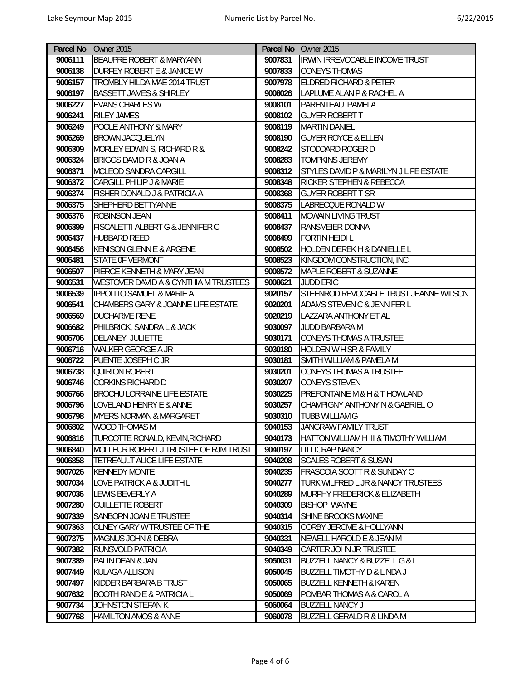|         | Parcel No Owner 2015                             |         | Parcel No Owner 2015                         |
|---------|--------------------------------------------------|---------|----------------------------------------------|
| 9006111 | BEAUPRE ROBERT & MARYANN                         | 9007831 | <b>IRWIN IRREVOCABLE INCOME TRUST</b>        |
| 9006138 | <b>DURFEY ROBERT E &amp; JANICE W</b>            | 9007833 | <b>CONEYS THOMAS</b>                         |
| 9006157 | TROMBLY HILDA MAE 2014 TRUST                     | 9007978 | <b>ELDRED RICHARD &amp; PETER</b>            |
| 9006197 | <b>BASSETT JAMES &amp; SHIRLEY</b>               | 9008026 | LAPLUME ALAN P & RACHEL A                    |
| 9006227 | <b>EVANS CHARLES W</b>                           | 9008101 | PARENTEAU PAMELA                             |
| 9006241 | <b>RILEY JAMES</b>                               | 9008102 | <b>GUYER ROBERT T</b>                        |
| 9006249 | POOLE ANTHONY & MARY                             | 9008119 | <b>MARTIN DANIEL</b>                         |
| 9006269 | <b>BROWN JACQUELYN</b>                           | 9008190 | <b>GUYER ROYCE &amp; ELLEN</b>               |
| 9006309 | MORLEY EDWIN S, RICHARD R &                      | 9008242 | STODDARD ROGER D                             |
| 9006324 | <b>BRIGGS DAVID R &amp; JOAN A</b>               | 9008283 | <b>TOMPKINS JEREMY</b>                       |
| 9006371 | MCLEOD SANDRA CARGILL                            | 9008312 | STYLES DAVID P & MARILYN J LIFE ESTATE       |
| 9006372 | CARGILL PHILIP J & MARIE                         | 9008348 | RICKER STEPHEN & REBECCA                     |
| 9006374 | <b>FISHER DONALD J &amp; PATRICIA A</b>          | 9008368 | <b>GUYER ROBERT T SR</b>                     |
| 9006375 | SHEPHERD BETTYANNE                               | 9008375 | LABRECQUE RONALD W                           |
| 9006376 | <b>ROBINSON JEAN</b>                             | 9008411 | <b>MCWAIN LIVING TRUST</b>                   |
| 9006399 | <b>FISCALETTI ALBERT G &amp; JENNIFER C</b>      | 9008437 | <b>RANSMEIER DONNA</b>                       |
| 9006437 | <b>HUBBARD REED</b>                              | 9008499 | <b>FORTIN HEIDI L</b>                        |
| 9006456 | <b>KENISON GLENN E &amp; ARGENE</b>              | 9008502 | <b>HOLDEN DEREK H &amp; DANIELLE L</b>       |
| 9006481 | <b>STATE OF VERMONT</b>                          | 9008523 | KINGDOM CONSTRUCTION, INC                    |
| 9006507 | PIERCE KENNETH & MARY JEAN                       | 9008572 | <b>MAPLE ROBERT &amp; SUZANNE</b>            |
| 9006531 | <b>WESTOVER DAVID A &amp; CYNTHIA M TRUSTEES</b> | 9008621 | <b>JUDD ERIC</b>                             |
| 9006539 | <b>IPPOLITO SAMUEL &amp; MARIE A</b>             | 9020157 | STEENROD REVOCABLE TRUST JEANNE WILSON       |
| 9006541 | CHAMBERS GARY & JOANNE LIFE ESTATE               | 9020201 | <b>ADAMS STEVEN C &amp; JENNIFER L</b>       |
| 9006569 | DUCHARME RENE                                    | 9020219 | LAZZARA ANTHONY ET AL                        |
| 9006682 | PHILBRICK, SANDRA L & JACK                       | 9030097 | JUDD BARBARA M                               |
| 9006706 | <b>DELANEY JULIETTE</b>                          | 9030171 | <b>CONEYS THOMAS A TRUSTEE</b>               |
| 9006716 | WALKER GEORGE A JR                               | 9030180 | <b>HOLDEN W H SR &amp; FAMILY</b>            |
| 9006722 | PUENTE JOSEPH C JR                               | 9030181 | SMITH WILLIAM & PAMELA M                     |
| 9006738 | <b>QUIRION ROBERT</b>                            | 9030201 | <b>CONEYS THOMAS A TRUSTEE</b>               |
| 9006746 | <b>CORKINS RICHARD D</b>                         | 9030207 | <b>CONEYS STEVEN</b>                         |
| 9006766 | <b>BROCHU LORRAINE LIFE ESTATE</b>               | 9030225 | <b>PREFONTAINE M &amp; H &amp; T HOWLAND</b> |
| 9006796 | LOVELAND HENRY E & ANNE                          | 9030257 | CHAMPIGNY ANTHONY N & GABRIEL O              |
| 9006798 | <b>MYERS NORMAN &amp; MARGARET</b>               | 9030310 | <b>TUBB WILLIAM G</b>                        |
| 9006802 | WOOD THOMAS M                                    | 9040153 | JANGRAW FAMILY TRUST                         |
| 9006816 | TURCOTTE RONALD, KEVIN, RICHARD                  | 9040173 | HATTON WILLIAM H III & TIMOTHY WILLIAM       |
| 9006840 | MOLLEUR ROBERT J TRUSTEE OF RJM TRUST            | 9040197 | LILLICRAP NANCY                              |
| 9006858 | TETREAULT ALICE LIFE ESTATE                      | 9040208 | <b>SCALES ROBERT &amp; SUSAN</b>             |
| 9007026 | <b>KENNEDY MONTE</b>                             | 9040235 | <b>FRASCOIA SCOTT R &amp; SUNDAY C</b>       |
| 9007034 | LOVE PATRICK A & JUDITH L                        | 9040277 | TURK WILFRED L JR & NANCY TRUSTEES           |
| 9007036 | LEWIS BEVERLY A                                  | 9040289 | MURPHY FREDERICK & ELIZABETH                 |
| 9007280 | <b>GUILLETTE ROBERT</b>                          | 9040309 | <b>BISHOP WAYNE</b>                          |
| 9007339 | SANBORN JOAN E TRUSTEE                           | 9040314 | SHINE BROOKS MAXINE                          |
| 9007363 | OLNEY GARY W TRUSTEE OF THE                      | 9040315 | <b>CORBY JEROME &amp; HOLLYANN</b>           |
| 9007375 | <b>MAGNUS JOHN &amp; DEBRA</b>                   | 9040331 | NEWELL HAROLD E & JEAN M                     |
| 9007382 | RUNSVOLD PATRICIA                                | 9040349 | <b>CARTER JOHN JR TRUSTEE</b>                |
| 9007389 | PALIN DEAN & JAN                                 | 9050031 | <b>BUZZELL NANCY &amp; BUZZELL G &amp; L</b> |
| 9007449 | KULAGA ALLISON                                   | 9050045 | BUZZELL TIMOTHY D & LINDA J                  |
| 9007497 | KIDDER BARBARA B TRUST                           | 9050065 | <b>BUZZELL KENNETH &amp; KAREN</b>           |
| 9007632 | <b>BOOTH RAND E &amp; PATRICIA L</b>             | 9050069 | POMBAR THOMAS A & CAROL A                    |
| 9007734 | JOHNSTON STEFAN K                                | 9060064 | <b>BUZZELL NANCY J</b>                       |
| 9007768 | <b>HAMILTON AMOS &amp; ANNE</b>                  | 9060078 | <b>BUZZELL GERALD R &amp; LINDA M</b>        |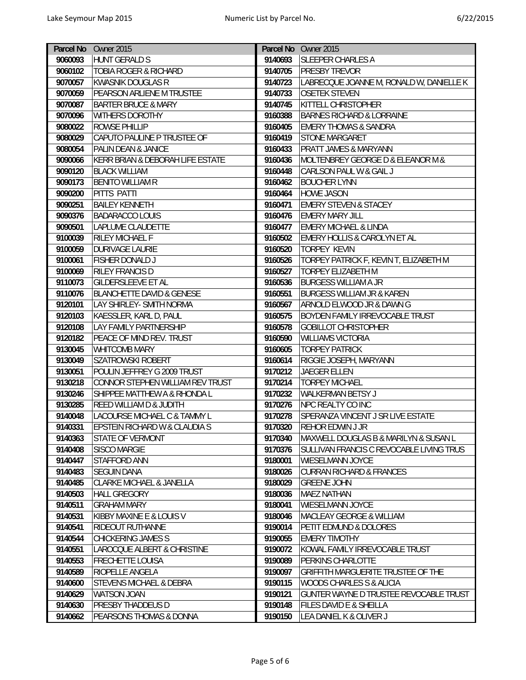|         | Parcel No Owner 2015                     |         | Parcel No Owner 2015                      |
|---------|------------------------------------------|---------|-------------------------------------------|
| 9060093 | <b>HUNT GERALD S</b>                     | 9140693 | <b>SLEEPER CHARLES A</b>                  |
| 9060102 | TOBIA ROGER & RICHARD                    | 9140705 | <b>PRESBY TREVOR</b>                      |
| 9070057 | <b>KWASNIK DOUGLAS R</b>                 | 9140723 | LABRECQUE JOANNE M, RONALD W, DANIELLE K  |
| 9070059 | PEARSON ARLIENE M TRUSTEE                | 9140733 | <b>OSETEK STEVEN</b>                      |
| 9070087 | <b>BARTER BRUCE &amp; MARY</b>           | 9140745 | KITTELL CHRISTOPHER                       |
| 9070096 | <b>WITHERS DOROTHY</b>                   | 9160388 | <b>BARNES RICHARD &amp; LORRAINE</b>      |
| 9080022 | ROWSE PHILLIP                            | 9160405 | <b>EMERY THOMAS &amp; SANDRA</b>          |
| 9080029 | CAPUTO PAULINE P TRUSTEE OF              | 9160419 | <b>STONE MARGARET</b>                     |
| 9080054 | <b>PALIN DEAN &amp; JANICE</b>           | 9160433 | <b>PRATT JAMES &amp; MARYANN</b>          |
| 9090066 | KERR BRIAN & DEBORAH LIFE ESTATE         | 9160436 | MOLTENBREY GEORGE D & ELEANOR M &         |
| 9090120 | <b>BLACK WILLIAM</b>                     | 9160448 | CARLSON PAUL W & GAIL J                   |
| 9090173 | <b>BENITO WILLIAM R</b>                  | 9160462 | <b>BOUCHER LYNN</b>                       |
| 9090200 | PITTS PATTI                              | 9160464 | <b>HOWE JASON</b>                         |
| 9090251 | <b>BAILEY KENNETH</b>                    | 9160471 | <b>EMERY STEVEN &amp; STACEY</b>          |
| 9090376 | <b>BADARACCO LOUIS</b>                   | 9160476 | <b>EMERY MARY JILL</b>                    |
| 9090501 | LAPLUME CLAUDETTE                        | 9160477 | <b>EMERY MICHAEL &amp; LINDA</b>          |
| 9100039 | RILEY MICHAEL F                          | 9160502 | <b>EMERY HOLLIS &amp; CAROLYN ET AL</b>   |
| 9100059 | <b>DURIVAGE LAURIE</b>                   | 9160520 | <b>TORPEY KEVIN</b>                       |
| 9100061 | FISHER DONALD J                          | 9160526 | TORPEY PATRICK F, KEVIN T, ELIZABETH M    |
| 9100069 | RILEY FRANCIS D                          | 9160527 | TORPEY ELIZABETH M                        |
| 9110073 | <b>GILDERSLEEVE ET AL</b>                | 9160536 | <b>BURGESS WILLIAM A JR</b>               |
| 9110076 | <b>BLANCHETTE DAVID &amp; GENESE</b>     | 9160551 | <b>BURGESS WILLIAM JR &amp; KAREN</b>     |
| 9120101 | LAY SHIRLEY- SMITH NORMA                 | 9160567 | ARNOLD ELWOOD JR & DAWN G                 |
| 9120103 | KAESSLER, KARL D, PAUL                   | 9160575 | <b>BOYDEN FAMILY IRREVOCABLE TRUST</b>    |
| 9120108 | LAY FAMILY PARTNERSHIP                   | 9160578 | <b>GOBILLOT CHRISTOPHER</b>               |
| 9120182 | PEACE OF MIND REV. TRUST                 | 9160590 | <b>WILLIAMS VICTORIA</b>                  |
| 9130045 | WHITCOMB MARY                            | 9160605 | <b>TORPEY PATRICK</b>                     |
| 9130049 | <b>SZATROWSKI ROBERT</b>                 | 9160614 | RIGGIE JOSEPH, MARYANN                    |
| 9130051 | POULIN JEFFREY G 2009 TRUST              | 9170212 | JAEGER ELLEN                              |
| 9130218 | CONNOR STEPHEN WILLIAM REV TRUST         | 9170214 | <b>TORPEY MICHAEL</b>                     |
| 9130246 | SHIPPEE MATTHEW A & RHONDA L             | 9170232 | <b>WALKERMAN BETSY J</b>                  |
| 9130285 | REED WILLIAM D & JUDITH                  | 9170276 | NPC REALTY CO INC                         |
| 9140048 | LACOURSE MICHAEL C & TAMMY L             | 9170278 | SPERANZA VINCENT J SR LIVE ESTATE         |
| 9140331 | <b>EPSTEIN RICHARD W &amp; CLAUDIA S</b> | 9170320 | <b>REHOR EDWIN J JR</b>                   |
| 9140363 | <b>STATE OF VERMONT</b>                  | 9170340 | MAXWELL DOUGLAS B & MARILYN & SUSAN L     |
| 9140408 | <b>SISCO MARGIE</b>                      | 9170376 | SULLIVAN FRANCIS C REVOCABLE LIVING TRUS  |
| 9140447 | STAFFORD ANN                             | 9180001 | <b>WIESELMANN JOYCE</b>                   |
| 9140483 | <b>SEGUIN DANA</b>                       | 9180026 | <b>CURRAN RICHARD &amp; FRANCES</b>       |
| 9140485 | <b>CLARKE MICHAEL &amp; JANELLA</b>      | 9180029 | <b>GREENE JOHN</b>                        |
| 9140503 | <b>HALL GREGORY</b>                      | 9180036 | <b>MAEZ NATHAN</b>                        |
| 9140511 | <b>GRAHAM MARY</b>                       | 9180041 | <b>WIESELMANN JOYCE</b>                   |
| 9140531 | KIBBY MAXINE E & LOUIS V                 | 9180046 | MACLEAY GEORGE & WILLIAM                  |
| 9140541 | RIDEOUT RUTHANNE                         | 9190014 | PETIT EDMUND & DOLORES                    |
| 9140544 | CHICKERING JAMES S                       | 9190055 | <b>EMERY TIMOTHY</b>                      |
| 9140551 | LAROCQUE ALBERT & CHRISTINE              | 9190072 | KOWAL FAMILY IRREVOCABLE TRUST            |
| 9140553 | <b>FRECHETTE LOUISA</b>                  | 9190089 | <b>PERKINS CHARLOTTE</b>                  |
| 9140589 | RIOPELLE ANGELA                          | 9190097 | <b>GRIFFITH MARGUERITE TRUSTEE OF THE</b> |
| 9140600 | STEVENS MICHAEL & DEBRA                  | 9190115 | WOODS CHARLES S & ALICIA                  |
| 9140629 | <b>WATSON JOAN</b>                       | 9190121 | GUNTER WAYNE D TRUSTEE REVOCABLE TRUST    |
| 9140630 | <b>PRESBY THADDEUS D</b>                 | 9190148 | <b>FILES DAVID E &amp; SHEILLA</b>        |
| 9140662 | PEARSONS THOMAS & DONNA                  | 9190150 | LEA DANIEL K & OLIVER J                   |